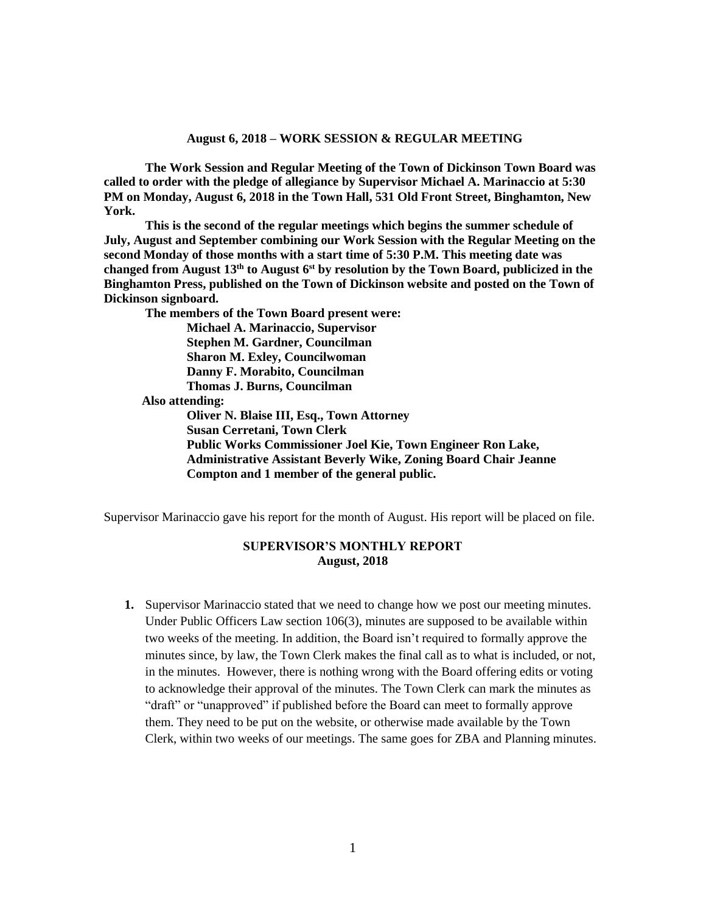**The Work Session and Regular Meeting of the Town of Dickinson Town Board was called to order with the pledge of allegiance by Supervisor Michael A. Marinaccio at 5:30 PM on Monday, August 6, 2018 in the Town Hall, 531 Old Front Street, Binghamton, New York.** 

**This is the second of the regular meetings which begins the summer schedule of July, August and September combining our Work Session with the Regular Meeting on the second Monday of those months with a start time of 5:30 P.M. This meeting date was changed from August 13 th to August 6st by resolution by the Town Board, publicized in the Binghamton Press, published on the Town of Dickinson website and posted on the Town of Dickinson signboard.**

**The members of the Town Board present were:**

**Michael A. Marinaccio, Supervisor Stephen M. Gardner, Councilman Sharon M. Exley, Councilwoman Danny F. Morabito, Councilman Thomas J. Burns, Councilman Also attending:**

**Oliver N. Blaise III, Esq., Town Attorney Susan Cerretani, Town Clerk Public Works Commissioner Joel Kie, Town Engineer Ron Lake, Administrative Assistant Beverly Wike, Zoning Board Chair Jeanne Compton and 1 member of the general public.**

Supervisor Marinaccio gave his report for the month of August. His report will be placed on file.

## **SUPERVISOR'S MONTHLY REPORT August, 2018**

**1.** Supervisor Marinaccio stated that we need to change how we post our meeting minutes. Under Public Officers Law section 106(3), minutes are supposed to be available within two weeks of the meeting. In addition, the Board isn't required to formally approve the minutes since, by law, the Town Clerk makes the final call as to what is included, or not, in the minutes. However, there is nothing wrong with the Board offering edits or voting to acknowledge their approval of the minutes. The Town Clerk can mark the minutes as "draft" or "unapproved" if published before the Board can meet to formally approve them. They need to be put on the website, or otherwise made available by the Town Clerk, within two weeks of our meetings. The same goes for ZBA and Planning minutes.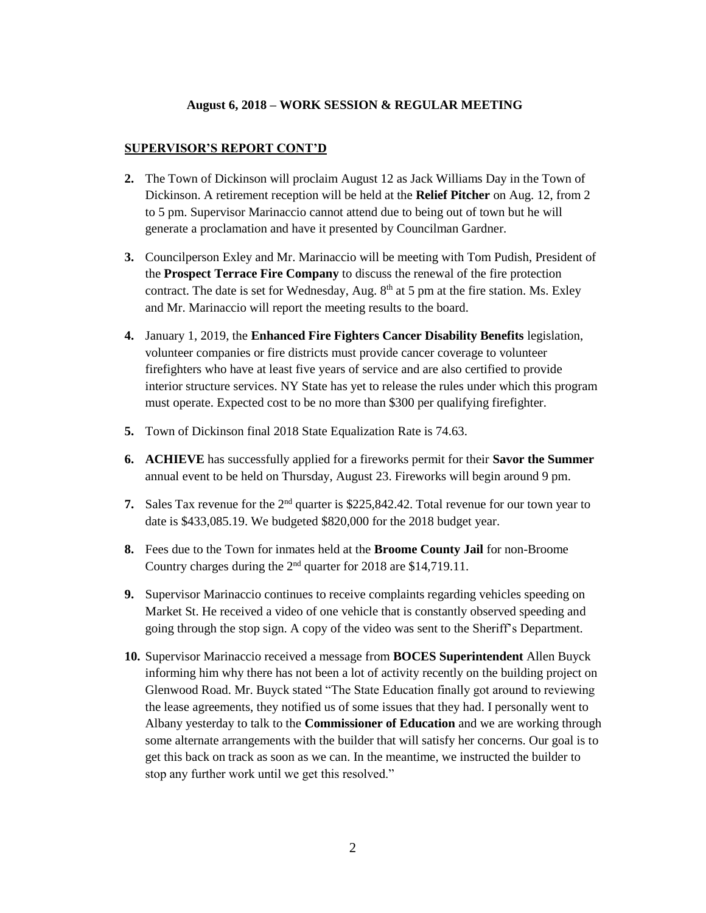# **SUPERVISOR'S REPORT CONT'D**

- **2.** The Town of Dickinson will proclaim August 12 as Jack Williams Day in the Town of Dickinson. A retirement reception will be held at the **Relief Pitcher** on Aug. 12, from 2 to 5 pm. Supervisor Marinaccio cannot attend due to being out of town but he will generate a proclamation and have it presented by Councilman Gardner.
- **3.** Councilperson Exley and Mr. Marinaccio will be meeting with Tom Pudish, President of the **Prospect Terrace Fire Company** to discuss the renewal of the fire protection contract. The date is set for Wednesday, Aug.  $8<sup>th</sup>$  at 5 pm at the fire station. Ms. Exley and Mr. Marinaccio will report the meeting results to the board.
- **4.** January 1, 2019, the **Enhanced Fire Fighters Cancer Disability Benefits** legislation, volunteer companies or fire districts must provide cancer coverage to volunteer firefighters who have at least five years of service and are also certified to provide interior structure services. NY State has yet to release the rules under which this program must operate. Expected cost to be no more than \$300 per qualifying firefighter.
- **5.** Town of Dickinson final 2018 State Equalization Rate is 74.63.
- **6. ACHIEVE** has successfully applied for a fireworks permit for their **Savor the Summer** annual event to be held on Thursday, August 23. Fireworks will begin around 9 pm.
- **7.** Sales Tax revenue for the 2<sup>nd</sup> quarter is \$225,842.42. Total revenue for our town year to date is \$433,085.19. We budgeted \$820,000 for the 2018 budget year.
- **8.** Fees due to the Town for inmates held at the **Broome County Jail** for non-Broome Country charges during the 2nd quarter for 2018 are \$14,719.11.
- **9.** Supervisor Marinaccio continues to receive complaints regarding vehicles speeding on Market St. He received a video of one vehicle that is constantly observed speeding and going through the stop sign. A copy of the video was sent to the Sheriff's Department.
- **10.** Supervisor Marinaccio received a message from **BOCES Superintendent** Allen Buyck informing him why there has not been a lot of activity recently on the building project on Glenwood Road. Mr. Buyck stated "The State Education finally got around to reviewing the lease agreements, they notified us of some issues that they had. I personally went to Albany yesterday to talk to the **Commissioner of Education** and we are working through some alternate arrangements with the builder that will satisfy her concerns. Our goal is to get this back on track as soon as we can. In the meantime, we instructed the builder to stop any further work until we get this resolved."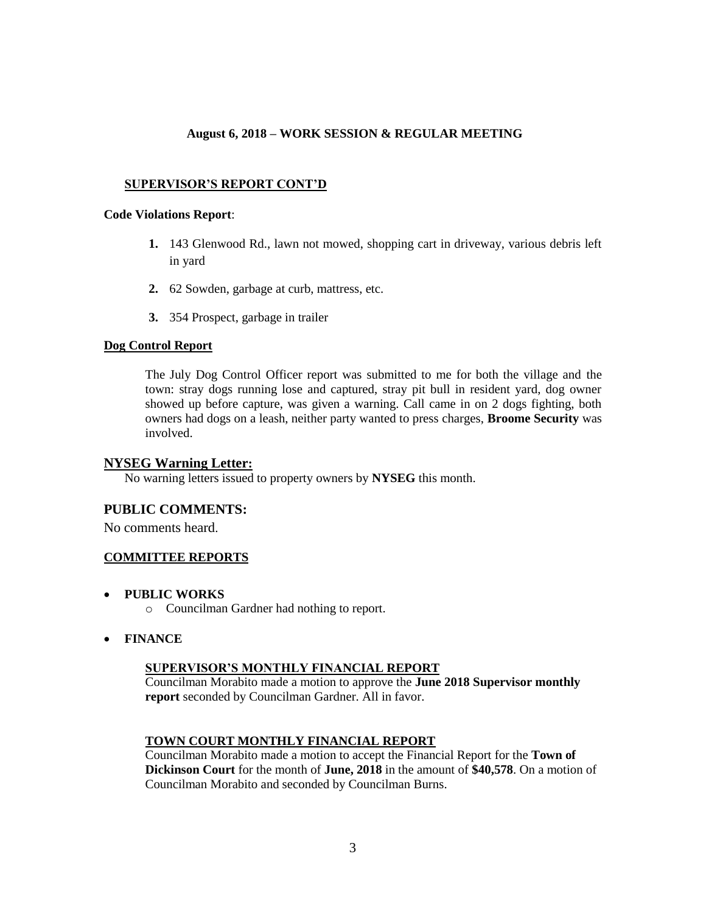## **SUPERVISOR'S REPORT CONT'D**

#### **Code Violations Report**:

- **1.** 143 Glenwood Rd., lawn not mowed, shopping cart in driveway, various debris left in yard
- **2.** 62 Sowden, garbage at curb, mattress, etc.
- **3.** 354 Prospect, garbage in trailer

## **Dog Control Report**

The July Dog Control Officer report was submitted to me for both the village and the town: stray dogs running lose and captured, stray pit bull in resident yard, dog owner showed up before capture, was given a warning. Call came in on 2 dogs fighting, both owners had dogs on a leash, neither party wanted to press charges, **Broome Security** was involved.

## **NYSEG Warning Letter:**

No warning letters issued to property owners by **NYSEG** this month.

# **PUBLIC COMMENTS:**

No comments heard.

## **COMMITTEE REPORTS**

- **PUBLIC WORKS**
	- o Councilman Gardner had nothing to report.
- **FINANCE**

## **SUPERVISOR'S MONTHLY FINANCIAL REPORT**

Councilman Morabito made a motion to approve the **June 2018 Supervisor monthly report** seconded by Councilman Gardner. All in favor.

## **TOWN COURT MONTHLY FINANCIAL REPORT**

Councilman Morabito made a motion to accept the Financial Report for the **Town of Dickinson Court** for the month of **June, 2018** in the amount of **\$40,578**. On a motion of Councilman Morabito and seconded by Councilman Burns.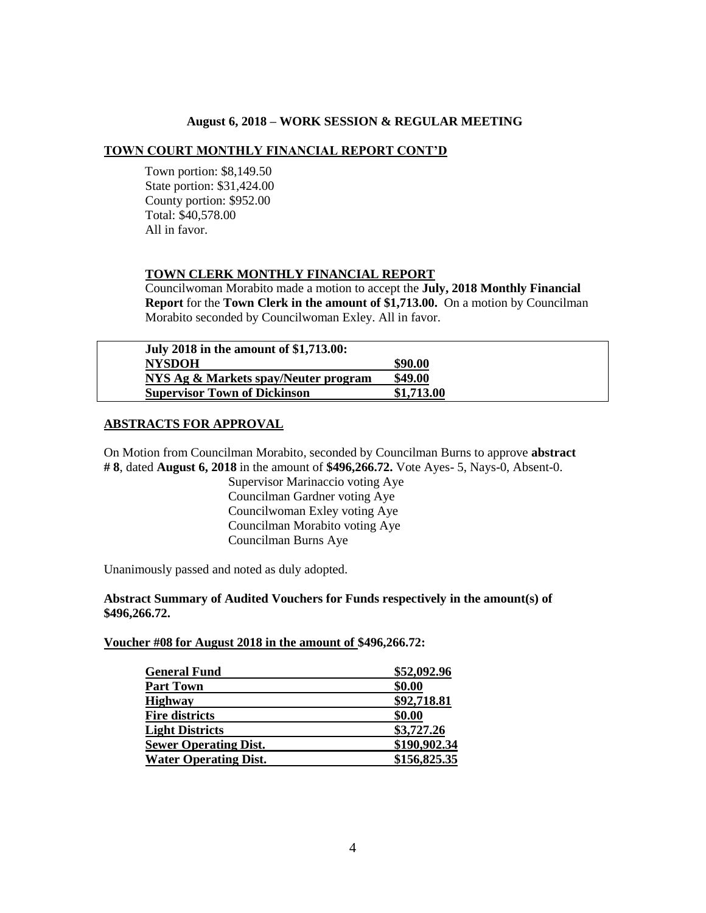### **TOWN COURT MONTHLY FINANCIAL REPORT CONT'D**

 Town portion: \$8,149.50 State portion: \$31,424.00 County portion: \$952.00 Total: \$40,578.00 All in favor.

#### **TOWN CLERK MONTHLY FINANCIAL REPORT**

Councilwoman Morabito made a motion to accept the **July, 2018 Monthly Financial Report** for the **Town Clerk in the amount of \$1,713.00.** On a motion by Councilman Morabito seconded by Councilwoman Exley. All in favor.

| July 2018 in the amount of \$1,713.00: |            |
|----------------------------------------|------------|
| <b>NYSDOH</b>                          | \$90.00    |
| NYS Ag & Markets spay/Neuter program   | \$49.00    |
| <b>Supervisor Town of Dickinson</b>    | \$1,713.00 |

### **ABSTRACTS FOR APPROVAL**

On Motion from Councilman Morabito, seconded by Councilman Burns to approve **abstract # 8**, dated **August 6, 2018** in the amount of **\$496,266.72.** Vote Ayes- 5, Nays-0, Absent-0.

> Supervisor Marinaccio voting Aye Councilman Gardner voting Aye Councilwoman Exley voting Aye Councilman Morabito voting Aye Councilman Burns Aye

Unanimously passed and noted as duly adopted.

### **Abstract Summary of Audited Vouchers for Funds respectively in the amount(s) of \$496,266.72.**

#### **Voucher #08 for August 2018 in the amount of \$496,266.72:**

| <b>General Fund</b>          | \$52,092.96  |
|------------------------------|--------------|
| <b>Part Town</b>             | \$0.00       |
| <b>Highway</b>               | \$92,718.81  |
| <b>Fire districts</b>        | \$0.00       |
| <b>Light Districts</b>       | \$3,727.26   |
| <b>Sewer Operating Dist.</b> | \$190,902.34 |
| <b>Water Operating Dist.</b> | \$156,825.35 |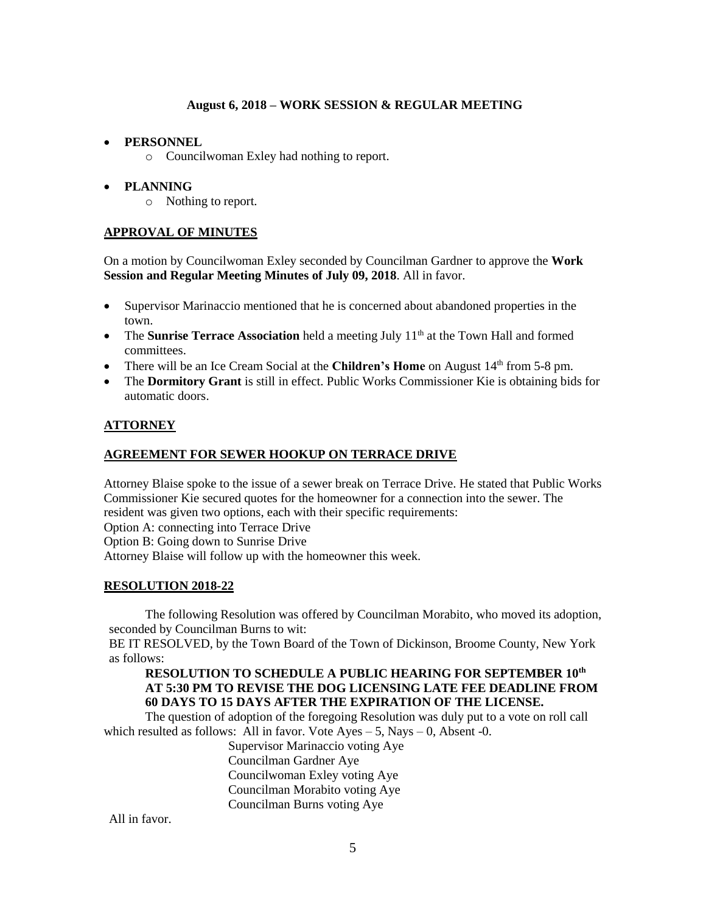## **PERSONNEL**

o Councilwoman Exley had nothing to report.

# **PLANNING**

o Nothing to report.

# **APPROVAL OF MINUTES**

On a motion by Councilwoman Exley seconded by Councilman Gardner to approve the **Work Session and Regular Meeting Minutes of July 09, 2018**. All in favor.

- Supervisor Marinaccio mentioned that he is concerned about abandoned properties in the town.
- The **Sunrise Terrace Association** held a meeting July 11<sup>th</sup> at the Town Hall and formed committees.
- There will be an Ice Cream Social at the **Children's Home** on August 14<sup>th</sup> from 5-8 pm.
- The **Dormitory Grant** is still in effect. Public Works Commissioner Kie is obtaining bids for automatic doors.

## **ATTORNEY**

### **AGREEMENT FOR SEWER HOOKUP ON TERRACE DRIVE**

Attorney Blaise spoke to the issue of a sewer break on Terrace Drive. He stated that Public Works Commissioner Kie secured quotes for the homeowner for a connection into the sewer. The resident was given two options, each with their specific requirements: Option A: connecting into Terrace Drive Option B: Going down to Sunrise Drive Attorney Blaise will follow up with the homeowner this week.

## **RESOLUTION 2018-22**

The following Resolution was offered by Councilman Morabito, who moved its adoption, seconded by Councilman Burns to wit:

BE IT RESOLVED, by the Town Board of the Town of Dickinson, Broome County, New York as follows:

### **RESOLUTION TO SCHEDULE A PUBLIC HEARING FOR SEPTEMBER 10th AT 5:30 PM TO REVISE THE DOG LICENSING LATE FEE DEADLINE FROM 60 DAYS TO 15 DAYS AFTER THE EXPIRATION OF THE LICENSE.**

The question of adoption of the foregoing Resolution was duly put to a vote on roll call which resulted as follows: All in favor. Vote  $Ayes - 5$ , Nays  $- 0$ , Absent -0.

Supervisor Marinaccio voting Aye Councilman Gardner Aye Councilwoman Exley voting Aye Councilman Morabito voting Aye Councilman Burns voting Aye

All in favor.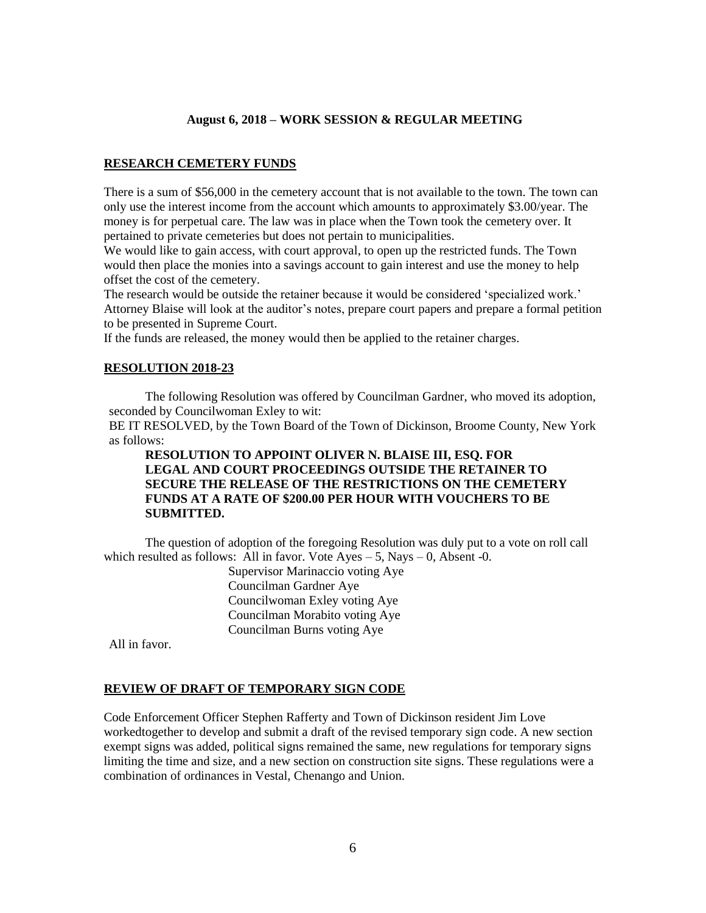#### **RESEARCH CEMETERY FUNDS**

There is a sum of \$56,000 in the cemetery account that is not available to the town. The town can only use the interest income from the account which amounts to approximately \$3.00/year. The money is for perpetual care. The law was in place when the Town took the cemetery over. It pertained to private cemeteries but does not pertain to municipalities.

We would like to gain access, with court approval, to open up the restricted funds. The Town would then place the monies into a savings account to gain interest and use the money to help offset the cost of the cemetery.

The research would be outside the retainer because it would be considered 'specialized work.' Attorney Blaise will look at the auditor's notes, prepare court papers and prepare a formal petition to be presented in Supreme Court.

If the funds are released, the money would then be applied to the retainer charges.

### **RESOLUTION 2018-23**

The following Resolution was offered by Councilman Gardner, who moved its adoption, seconded by Councilwoman Exley to wit:

BE IT RESOLVED, by the Town Board of the Town of Dickinson, Broome County, New York as follows:

## **RESOLUTION TO APPOINT OLIVER N. BLAISE III, ESQ. FOR LEGAL AND COURT PROCEEDINGS OUTSIDE THE RETAINER TO SECURE THE RELEASE OF THE RESTRICTIONS ON THE CEMETERY FUNDS AT A RATE OF \$200.00 PER HOUR WITH VOUCHERS TO BE SUBMITTED.**

The question of adoption of the foregoing Resolution was duly put to a vote on roll call which resulted as follows: All in favor. Vote  $Ayes - 5$ , Nays  $- 0$ , Absent -0.

Supervisor Marinaccio voting Aye Councilman Gardner Aye Councilwoman Exley voting Aye Councilman Morabito voting Aye Councilman Burns voting Aye

All in favor.

#### **REVIEW OF DRAFT OF TEMPORARY SIGN CODE**

Code Enforcement Officer Stephen Rafferty and Town of Dickinson resident Jim Love workedtogether to develop and submit a draft of the revised temporary sign code. A new section exempt signs was added, political signs remained the same, new regulations for temporary signs limiting the time and size, and a new section on construction site signs. These regulations were a combination of ordinances in Vestal, Chenango and Union.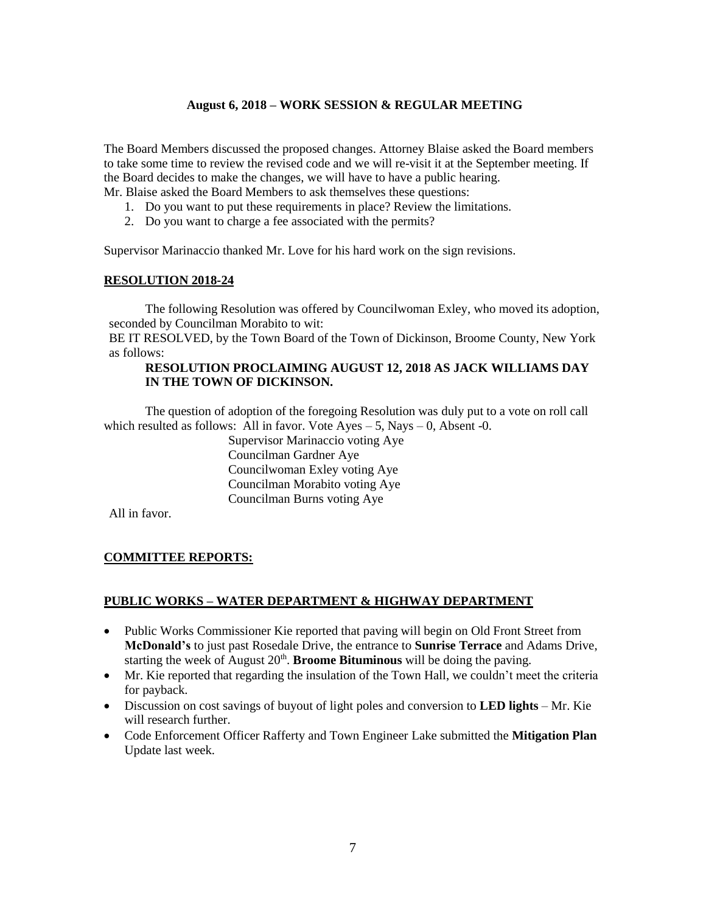The Board Members discussed the proposed changes. Attorney Blaise asked the Board members to take some time to review the revised code and we will re-visit it at the September meeting. If the Board decides to make the changes, we will have to have a public hearing. Mr. Blaise asked the Board Members to ask themselves these questions:

- 1. Do you want to put these requirements in place? Review the limitations.
- 2. Do you want to charge a fee associated with the permits?

Supervisor Marinaccio thanked Mr. Love for his hard work on the sign revisions.

## **RESOLUTION 2018-24**

The following Resolution was offered by Councilwoman Exley, who moved its adoption, seconded by Councilman Morabito to wit:

BE IT RESOLVED, by the Town Board of the Town of Dickinson, Broome County, New York as follows:

## **RESOLUTION PROCLAIMING AUGUST 12, 2018 AS JACK WILLIAMS DAY IN THE TOWN OF DICKINSON.**

The question of adoption of the foregoing Resolution was duly put to a vote on roll call which resulted as follows: All in favor. Vote  $Ayes - 5$ , Nays  $- 0$ , Absent -0.

> Supervisor Marinaccio voting Aye Councilman Gardner Aye Councilwoman Exley voting Aye Councilman Morabito voting Aye Councilman Burns voting Aye

All in favor.

## **COMMITTEE REPORTS:**

#### **PUBLIC WORKS – WATER DEPARTMENT & HIGHWAY DEPARTMENT**

- Public Works Commissioner Kie reported that paving will begin on Old Front Street from **McDonald's** to just past Rosedale Drive, the entrance to **Sunrise Terrace** and Adams Drive, starting the week of August 20<sup>th</sup>. **Broome Bituminous** will be doing the paving.
- Mr. Kie reported that regarding the insulation of the Town Hall, we couldn't meet the criteria for payback.
- Discussion on cost savings of buyout of light poles and conversion to **LED lights** Mr. Kie will research further.
- Code Enforcement Officer Rafferty and Town Engineer Lake submitted the **Mitigation Plan** Update last week.